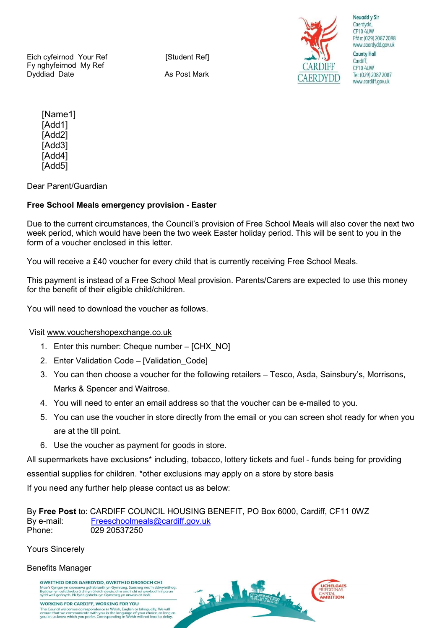Eich cyfeirnod Your Ref [Student Ref] Fy nghyfeirnod My Ref Dyddiad Date **As Post Mark** 



**ICHELGATS** 

**TIAL**<br>IRITION

Neuadd v Sir Caerdydd, CF10 4UW Ffôn: (029) 2087 2088 www.caerdydd.gov.uk **County Hall** Cardiff, **CF10 4UW** Tel: (029) 2087 2087 www.cardiff.gov.uk

 [Name1] [Add1] [Add2] [Add3] [Add4] [Add5]

Dear Parent/Guardian

## Free School Meals emergency provision - Easter

Due to the current circumstances, the Council's provision of Free School Meals will also cover the next two week period, which would have been the two week Easter holiday period. This will be sent to you in the form of a voucher enclosed in this letter.

You will receive a £40 voucher for every child that is currently receiving Free School Meals.

This payment is instead of a Free School Meal provision. Parents/Carers are expected to use this money for the benefit of their eligible child/children.

You will need to download the voucher as follows.

Visit www.vouchershopexchange.co.uk

- 1. Enter this number: Cheque number [CHX\_NO]
- 2. Enter Validation Code [Validation\_Code]
- 3. You can then choose a voucher for the following retailers Tesco, Asda, Sainsbury's, Morrisons, Marks & Spencer and Waitrose.
- 4. You will need to enter an email address so that the voucher can be e-mailed to you.
- 5. You can use the voucher in store directly from the email or you can screen shot ready for when you are at the till point.
- 6. Use the voucher as payment for goods in store.

All supermarkets have exclusions\* including, tobacco, lottery tickets and fuel - funds being for providing essential supplies for children. \*other exclusions may apply on a store by store basis

If you need any further help please contact us as below:

By Free Post to: CARDIFF COUNCIL HOUSING BENEFIT, PO Box 6000, Cardiff, CF11 0WZ By e-mail: Freeschoolmeals@cardiff.gov.uk Phone: 029 20537250

Yours Sincerely

## Benefits Manager